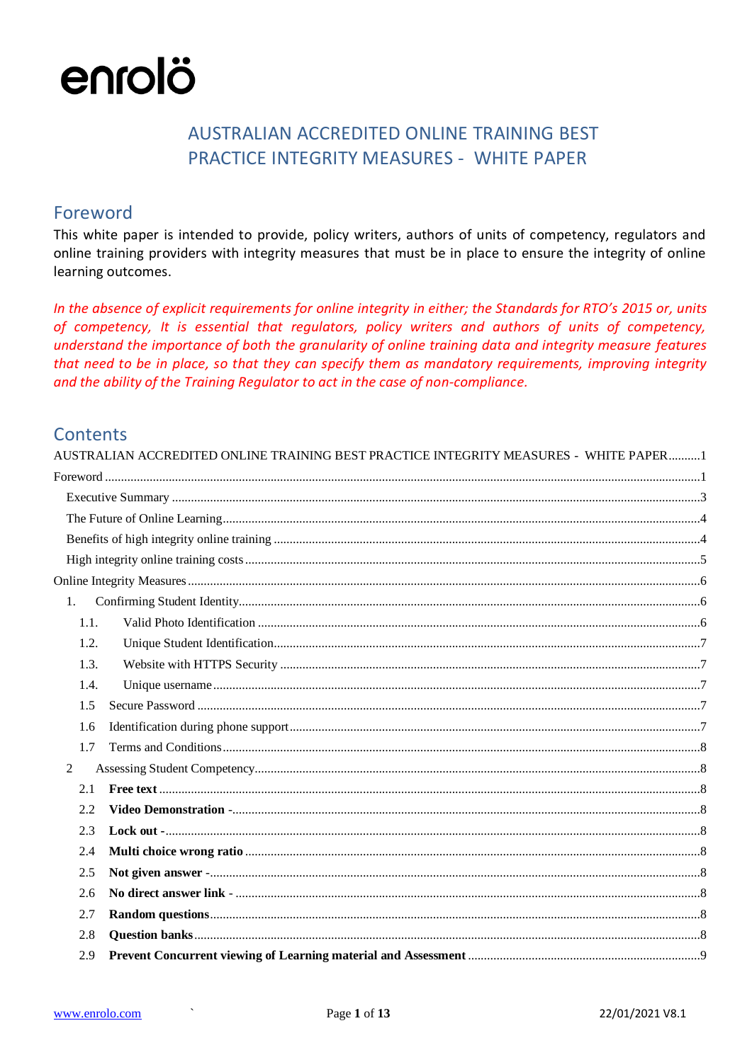## AUSTRALIAN ACCREDITED ONLINE TRAINING BEST **PRACTICE INTEGRITY MEASURES - WHITE PAPER**

## <span id="page-0-1"></span><span id="page-0-0"></span>Foreword

This white paper is intended to provide, policy writers, authors of units of competency, regulators and online training providers with integrity measures that must be in place to ensure the integrity of online learning outcomes.

In the absence of explicit requirements for online integrity in either; the Standards for RTO's 2015 or, units of competency, It is essential that regulators, policy writers and authors of units of competency, understand the importance of both the granularity of online training data and integrity measure features that need to be in place, so that they can specify them as mandatory requirements, improving integrity and the ability of the Training Regulator to act in the case of non-compliance.

## Contents

| AUSTRALIAN ACCREDITED ONLINE TRAINING BEST PRACTICE INTEGRITY MEASURES - WHITE PAPER1 |
|---------------------------------------------------------------------------------------|
|                                                                                       |
|                                                                                       |
|                                                                                       |
|                                                                                       |
|                                                                                       |
|                                                                                       |
| 1.                                                                                    |
| 1.1.                                                                                  |
| 1.2.                                                                                  |
| 1.3.                                                                                  |
| 1.4.                                                                                  |
| 1.5                                                                                   |
| 1.6                                                                                   |
| 1.7                                                                                   |
| 2                                                                                     |
| 2.1                                                                                   |
| 2.2                                                                                   |
| 2.3                                                                                   |
| 2.4                                                                                   |
| 2.5                                                                                   |
| 2.6                                                                                   |
| 2.7                                                                                   |
| 2.8                                                                                   |
| 2.9                                                                                   |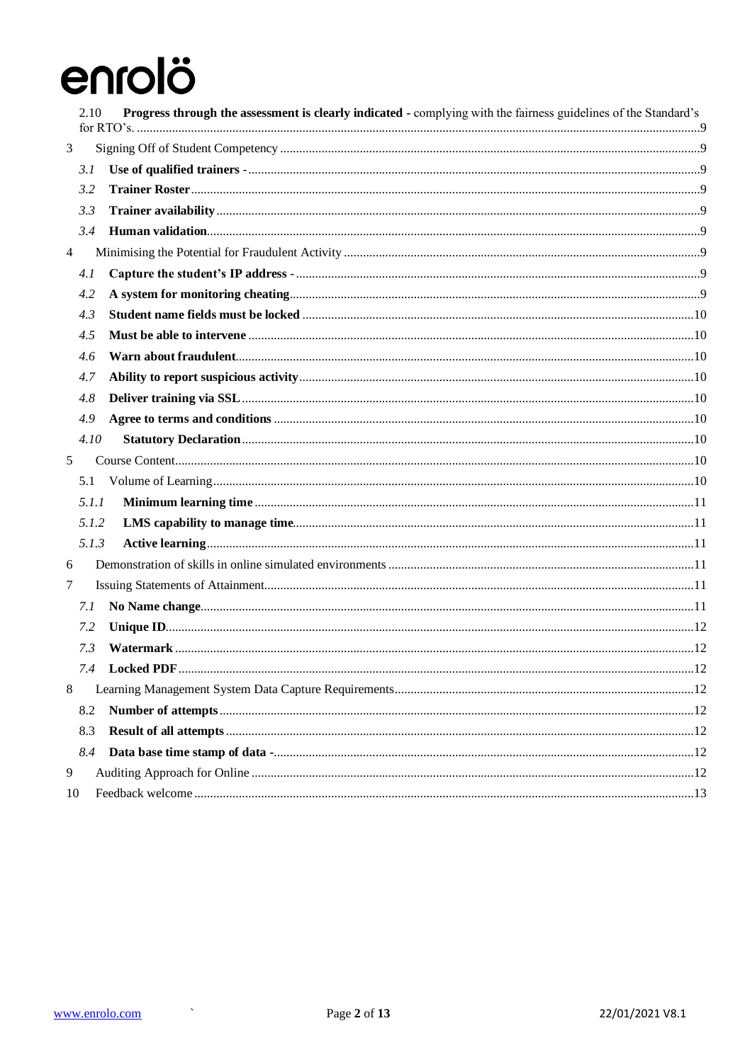|                | 2.10  | <b>Progress through the assessment is clearly indicated - complying with the fairness guidelines of the Standard's</b> |  |
|----------------|-------|------------------------------------------------------------------------------------------------------------------------|--|
| 3              |       |                                                                                                                        |  |
|                | 3.1   |                                                                                                                        |  |
|                | 3.2   |                                                                                                                        |  |
|                | 3.3   |                                                                                                                        |  |
|                | 3.4   |                                                                                                                        |  |
| $\overline{4}$ |       |                                                                                                                        |  |
|                | 4.1   |                                                                                                                        |  |
|                | 4.2   |                                                                                                                        |  |
|                | 4.3   |                                                                                                                        |  |
|                | 4.5   |                                                                                                                        |  |
|                | 4.6   |                                                                                                                        |  |
|                | 4.7   |                                                                                                                        |  |
|                | 4.8   |                                                                                                                        |  |
|                | 4.9   |                                                                                                                        |  |
|                | 4.10  |                                                                                                                        |  |
| 5              |       |                                                                                                                        |  |
|                | 5.1   |                                                                                                                        |  |
|                | 5.1.1 |                                                                                                                        |  |
|                | 5.1.2 |                                                                                                                        |  |
|                | 5.1.3 |                                                                                                                        |  |
| 6              |       |                                                                                                                        |  |
| 7              |       |                                                                                                                        |  |
|                | 7.1   |                                                                                                                        |  |
|                | 7.2   |                                                                                                                        |  |
|                | 7.3   |                                                                                                                        |  |
|                |       | 7.4 Locked PDF.                                                                                                        |  |
| 8              |       |                                                                                                                        |  |
|                | 8.2   |                                                                                                                        |  |
|                | 8.3   |                                                                                                                        |  |
|                | 8.4   |                                                                                                                        |  |
| 9              |       |                                                                                                                        |  |
| 10             |       |                                                                                                                        |  |

 $\sim$   $\sim$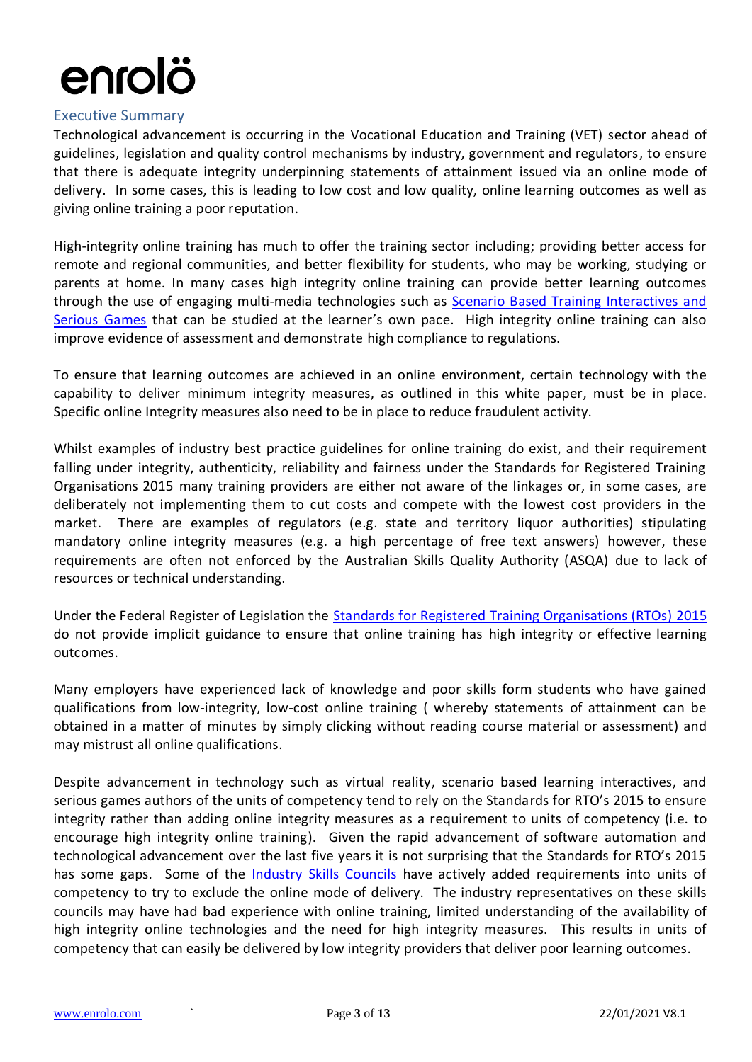#### <span id="page-2-0"></span>Executive Summary

Technological advancement is occurring in the Vocational Education and Training (VET) sector ahead of guidelines, legislation and quality control mechanisms by industry, government and regulators, to ensure that there is adequate integrity underpinning statements of attainment issued via an online mode of delivery. In some cases, this is leading to low cost and low quality, online learning outcomes as well as giving online training a poor reputation.

High-integrity online training has much to offer the training sector including; providing better access for remote and regional communities, and better flexibility for students, who may be working, studying or parents at home. In many cases high integrity online training can provide better learning outcomes through the use of engaging multi-media technologies such as [Scenario Based Training Interactives and](https://www.sblinteractive.org/Portals/4/docs/Publications/Crisp_Handbook_2012.pdf)  [Serious Games](https://www.sblinteractive.org/Portals/4/docs/Publications/Crisp_Handbook_2012.pdf) that can be studied at the learner's own pace. High integrity online training can also improve evidence of assessment and demonstrate high compliance to regulations.

To ensure that learning outcomes are achieved in an online environment, certain technology with the capability to deliver minimum integrity measures, as outlined in this white paper, must be in place. Specific online Integrity measures also need to be in place to reduce fraudulent activity.

Whilst examples of industry best practice guidelines for online training do exist, and their requirement falling under integrity, authenticity, reliability and fairness under the Standards for Registered Training Organisations 2015 many training providers are either not aware of the linkages or, in some cases, are deliberately not implementing them to cut costs and compete with the lowest cost providers in the market. There are examples of regulators (e.g. state and territory liquor authorities) stipulating mandatory online integrity measures (e.g. a high percentage of free text answers) however, these requirements are often not enforced by the Australian Skills Quality Authority (ASQA) due to lack of resources or technical understanding.

Under the Federal Register of Legislation the Standards [for Registered Training Organisations \(RTOs\) 2015](https://www.legislation.gov.au/Details/F2017C00663) do not provide implicit guidance to ensure that online training has high integrity or effective learning outcomes.

Many employers have experienced lack of knowledge and poor skills form students who have gained qualifications from low-integrity, low-cost online training ( whereby statements of attainment can be obtained in a matter of minutes by simply clicking without reading course material or assessment) and may mistrust all online qualifications.

Despite advancement in technology such as virtual reality, scenario based learning interactives, and serious games authors of the units of competency tend to rely on the Standards for RTO's 2015 to ensure integrity rather than adding online integrity measures as a requirement to units of competency (i.e. to encourage high integrity online training). Given the rapid advancement of software automation and technological advancement over the last five years it is not surprising that the Standards for RTO's 2015 has some gaps. Some of the *Industry Skills Councils* have actively added requirements into units of competency to try to exclude the online mode of delivery. The industry representatives on these skills councils may have had bad experience with online training, limited understanding of the availability of high integrity online technologies and the need for high integrity measures. This results in units of competency that can easily be delivered by low integrity providers that deliver poor learning outcomes.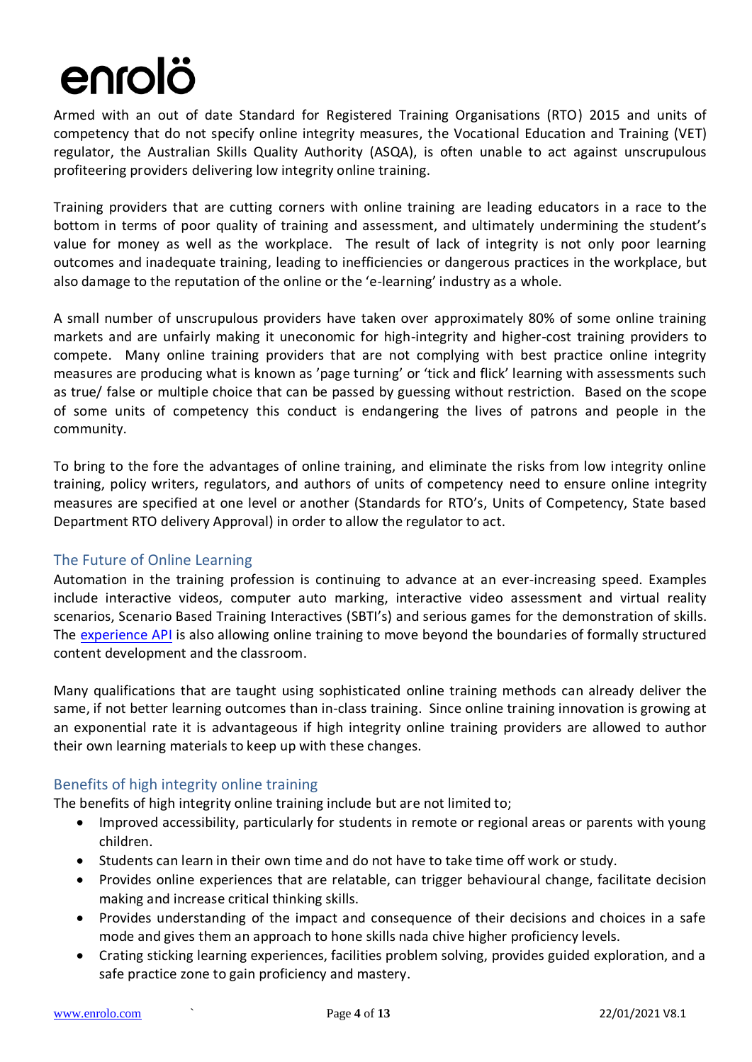Armed with an out of date Standard for Registered Training Organisations (RTO) 2015 and units of competency that do not specify online integrity measures, the Vocational Education and Training (VET) regulator, the Australian Skills Quality Authority (ASQA), is often unable to act against unscrupulous profiteering providers delivering low integrity online training.

Training providers that are cutting corners with online training are leading educators in a race to the bottom in terms of poor quality of training and assessment, and ultimately undermining the student's value for money as well as the workplace. The result of lack of integrity is not only poor learning outcomes and inadequate training, leading to inefficiencies or dangerous practices in the workplace, but also damage to the reputation of the online or the 'e-learning' industry as a whole.

A small number of unscrupulous providers have taken over approximately 80% of some online training markets and are unfairly making it uneconomic for high-integrity and higher-cost training providers to compete. Many online training providers that are not complying with best practice online integrity measures are producing what is known as 'page turning' or 'tick and flick' learning with assessments such as true/ false or multiple choice that can be passed by guessing without restriction. Based on the scope of some units of competency this conduct is endangering the lives of patrons and people in the community.

To bring to the fore the advantages of online training, and eliminate the risks from low integrity online training, policy writers, regulators, and authors of units of competency need to ensure online integrity measures are specified at one level or another (Standards for RTO's, Units of Competency, State based Department RTO delivery Approval) in order to allow the regulator to act.

### <span id="page-3-0"></span>The Future of Online Learning

Automation in the training profession is continuing to advance at an ever-increasing speed. Examples include interactive videos, computer auto marking, interactive video assessment and virtual reality scenarios, Scenario Based Training Interactives (SBTI's) and serious games for the demonstration of skills. The [experience API](https://experienceapi.com/) is also allowing online training to move beyond the boundaries of formally structured content development and the classroom.

Many qualifications that are taught using sophisticated online training methods can already deliver the same, if not better learning outcomes than in-class training. Since online training innovation is growing at an exponential rate it is advantageous if high integrity online training providers are allowed to author their own learning materials to keep up with these changes.

### <span id="page-3-1"></span>Benefits of high integrity online training

The benefits of high integrity online training include but are not limited to;

- Improved accessibility, particularly for students in remote or regional areas or parents with young children.
- Students can learn in their own time and do not have to take time off work or study.
- Provides online experiences that are relatable, can trigger behavioural change, facilitate decision making and increase critical thinking skills.
- Provides understanding of the impact and consequence of their decisions and choices in a safe mode and gives them an approach to hone skills nada chive higher proficiency levels.
- Crating sticking learning experiences, facilities problem solving, provides guided exploration, and a safe practice zone to gain proficiency and mastery.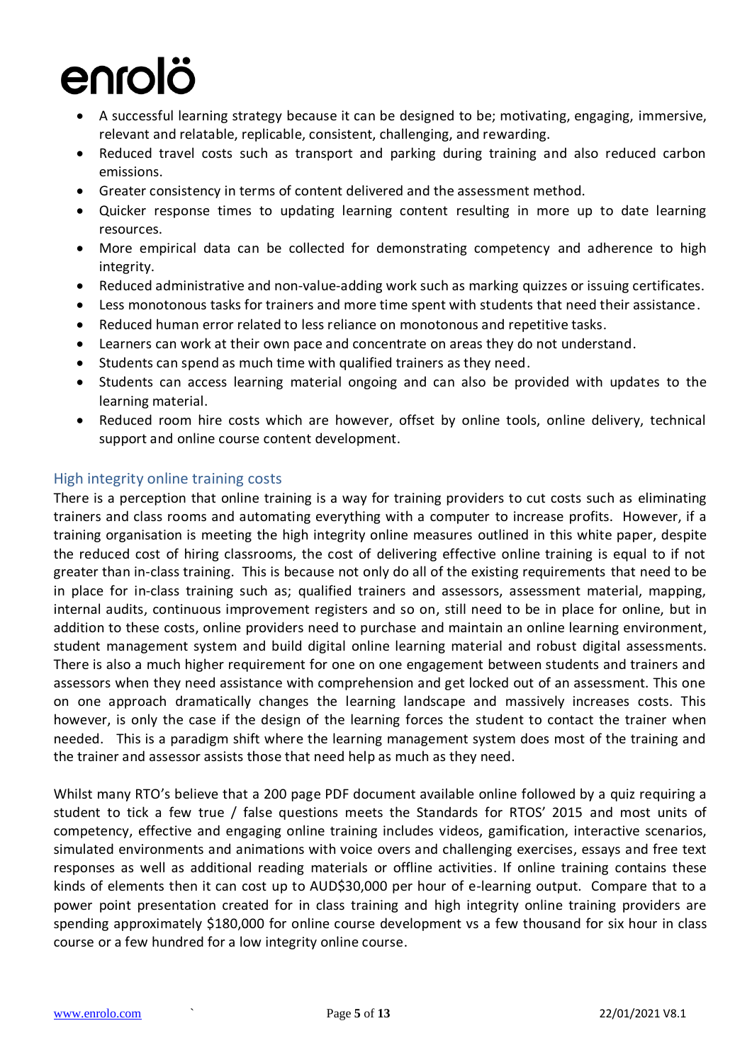- A successful learning strategy because it can be designed to be; motivating, engaging, immersive, relevant and relatable, replicable, consistent, challenging, and rewarding.
- Reduced travel costs such as transport and parking during training and also reduced carbon emissions.
- Greater consistency in terms of content delivered and the assessment method.
- Quicker response times to updating learning content resulting in more up to date learning resources.
- More empirical data can be collected for demonstrating competency and adherence to high integrity.
- Reduced administrative and non-value-adding work such as marking quizzes or issuing certificates.
- Less monotonous tasks for trainers and more time spent with students that need their assistance.
- Reduced human error related to less reliance on monotonous and repetitive tasks.
- Learners can work at their own pace and concentrate on areas they do not understand.
- Students can spend as much time with qualified trainers as they need.
- Students can access learning material ongoing and can also be provided with updates to the learning material.
- Reduced room hire costs which are however, offset by online tools, online delivery, technical support and online course content development.

### <span id="page-4-0"></span>High integrity online training costs

There is a perception that online training is a way for training providers to cut costs such as eliminating trainers and class rooms and automating everything with a computer to increase profits. However, if a training organisation is meeting the high integrity online measures outlined in this white paper, despite the reduced cost of hiring classrooms, the cost of delivering effective online training is equal to if not greater than in-class training. This is because not only do all of the existing requirements that need to be in place for in-class training such as; qualified trainers and assessors, assessment material, mapping, internal audits, continuous improvement registers and so on, still need to be in place for online, but in addition to these costs, online providers need to purchase and maintain an online learning environment, student management system and build digital online learning material and robust digital assessments. There is also a much higher requirement for one on one engagement between students and trainers and assessors when they need assistance with comprehension and get locked out of an assessment. This one on one approach dramatically changes the learning landscape and massively increases costs. This however, is only the case if the design of the learning forces the student to contact the trainer when needed. This is a paradigm shift where the learning management system does most of the training and the trainer and assessor assists those that need help as much as they need.

Whilst many RTO's believe that a 200 page PDF document available online followed by a quiz requiring a student to tick a few true / false questions meets the Standards for RTOS' 2015 and most units of competency, effective and engaging online training includes videos, gamification, interactive scenarios, simulated environments and animations with voice overs and challenging exercises, essays and free text responses as well as additional reading materials or offline activities. If online training contains these kinds of elements then it can cost up to AUD\$30,000 per hour of e-learning output. Compare that to a power point presentation created for in class training and high integrity online training providers are spending approximately \$180,000 for online course development vs a few thousand for six hour in class course or a few hundred for a low integrity online course.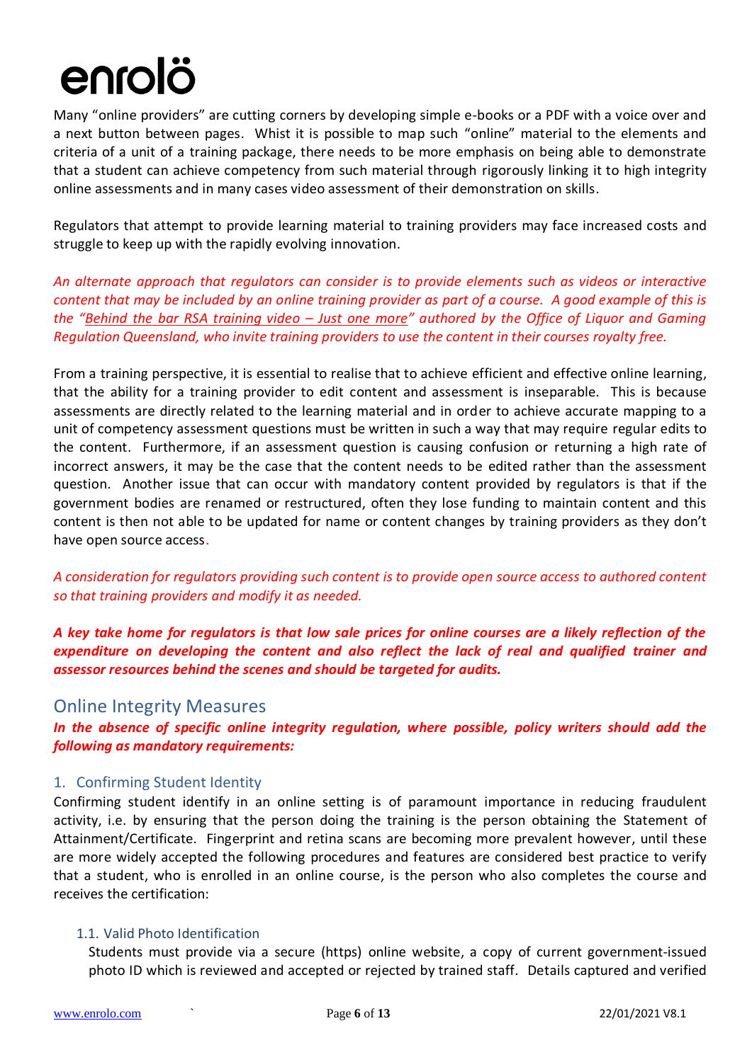Many "online providers" are cutting corners by developing simple e-books or a PDF with a voice over and a next button between pages. Whist it is possible to map such "online" material to the elements and criteria of a unit of a training package, there needs to be more emphasis on being able to demonstrate that a student can achieve competency from such material through rigorously linking it to high integrity online assessments and in many cases video assessment of their demonstration on skills.

Regulators that attempt to provide learning material to training providers may face increased costs and struggle to keep up with the rapidly evolving innovation.

*An alternate approach that regulators can consider is to provide elements such as videos or interactive content that may be included by an online training provider as part of a course. A good example of this is the "[Behind the bar RSA training video](https://www.youtube.com/watch?v=TVlyq3Ep_XQ) – Just one more" authored by the Office of Liquor and Gaming Regulation Queensland, who invite training providers to use the content in their courses royalty free.* 

From a training perspective, it is essential to realise that to achieve efficient and effective online learning, that the ability for a training provider to edit content and assessment is inseparable. This is because assessments are directly related to the learning material and in order to achieve accurate mapping to a unit of competency assessment questions must be written in such a way that may require regular edits to the content. Furthermore, if an assessment question is causing confusion or returning a high rate of incorrect answers, it may be the case that the content needs to be edited rather than the assessment question. Another issue that can occur with mandatory content provided by regulators is that if the government bodies are renamed or restructured, often they lose funding to maintain content and this content is then not able to be updated for name or content changes by training providers as they don't have open source access.

*A consideration for regulators providing such content is to provide open source access to authored content so that training providers and modify it as needed.*

*A key take home for regulators is that low sale prices for online courses are a likely reflection of the expenditure on developing the content and also reflect the lack of real and qualified trainer and assessor resources behind the scenes and should be targeted for audits.* 

### <span id="page-5-0"></span>Online Integrity Measures

*In the absence of specific online integrity regulation, where possible, policy writers should add the following as mandatory requirements:* 

### <span id="page-5-1"></span>1. Confirming Student Identity

Confirming student identify in an online setting is of paramount importance in reducing fraudulent activity, i.e. by ensuring that the person doing the training is the person obtaining the Statement of Attainment/Certificate. Fingerprint and retina scans are becoming more prevalent however, until these are more widely accepted the following procedures and features are considered best practice to verify that a student, who is enrolled in an online course, is the person who also completes the course and receives the certification:

#### <span id="page-5-2"></span>1.1. Valid Photo Identification

Students must provide via a secure (https) online website, a copy of current government-issued photo ID which is reviewed and accepted or rejected by trained staff. Details captured and verified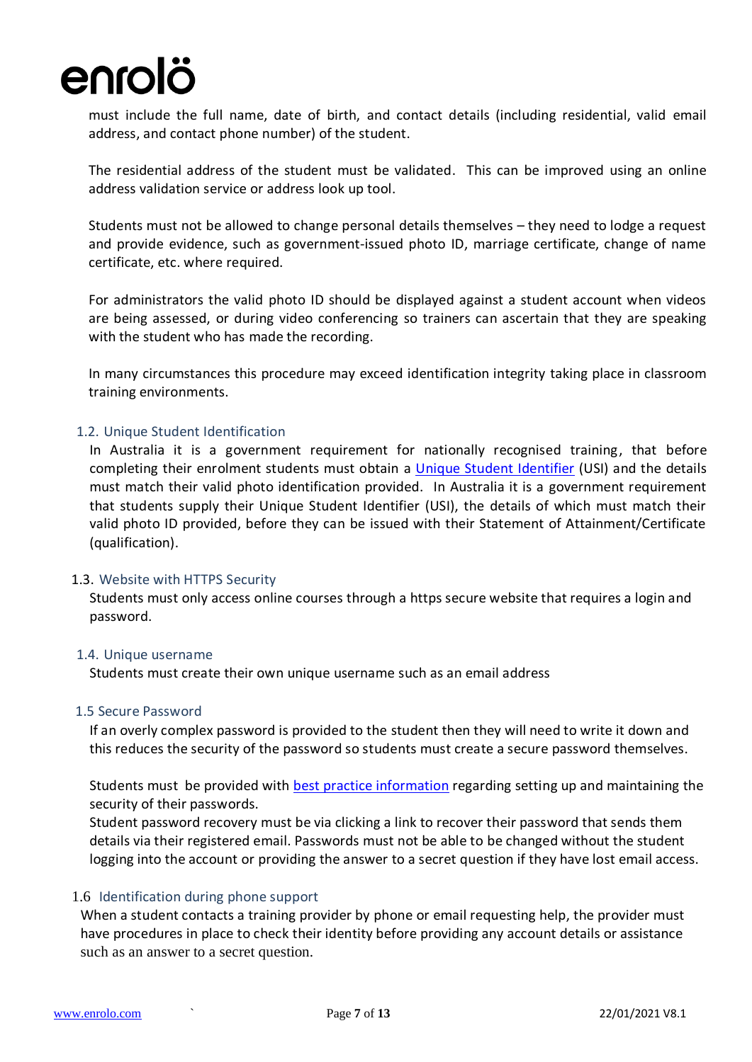must include the full name, date of birth, and contact details (including residential, valid email address, and contact phone number) of the student.

The residential address of the student must be validated. This can be improved using an online address validation service or address look up tool.

Students must not be allowed to change personal details themselves – they need to lodge a request and provide evidence, such as government-issued photo ID, marriage certificate, change of name certificate, etc. where required.

For administrators the valid photo ID should be displayed against a student account when videos are being assessed, or during video conferencing so trainers can ascertain that they are speaking with the student who has made the recording.

In many circumstances this procedure may exceed identification integrity taking place in classroom training environments.

#### <span id="page-6-0"></span>1.2. Unique Student Identification

In Australia it is a government requirement for nationally recognised training, that before completing their enrolment students must obtain a [Unique Student Identifier](https://www.usi.gov.au/) (USI) and the details must match their valid photo identification provided. In Australia it is a government requirement that students supply their Unique Student Identifier (USI), the details of which must match their valid photo ID provided, before they can be issued with their Statement of Attainment/Certificate (qualification).

#### <span id="page-6-1"></span>1.3. Website with HTTPS Security

Students must only access online courses through a https secure website that requires a login and password.

#### <span id="page-6-2"></span>1.4. Unique username

Students must create their own unique username such as an email address

#### <span id="page-6-3"></span>1.5 Secure Password

If an overly complex password is provided to the student then they will need to write it down and this reduces the security of the password so students must create a secure password themselves.

Students must be provided with **[best practice information](https://support.microsoft.com/en-us/help/4026406/microsoft-account-create-a-strong-password) regarding setting up and maintaining the** security of their passwords.

Student password recovery must be via clicking a link to recover their password that sends them details via their registered email. Passwords must not be able to be changed without the student logging into the account or providing the answer to a secret question if they have lost email access.

#### <span id="page-6-4"></span>1.6 Identification during phone support

When a student contacts a training provider by phone or email requesting help, the provider must have procedures in place to check their identity before providing any account details or assistance such as an answer to a secret question.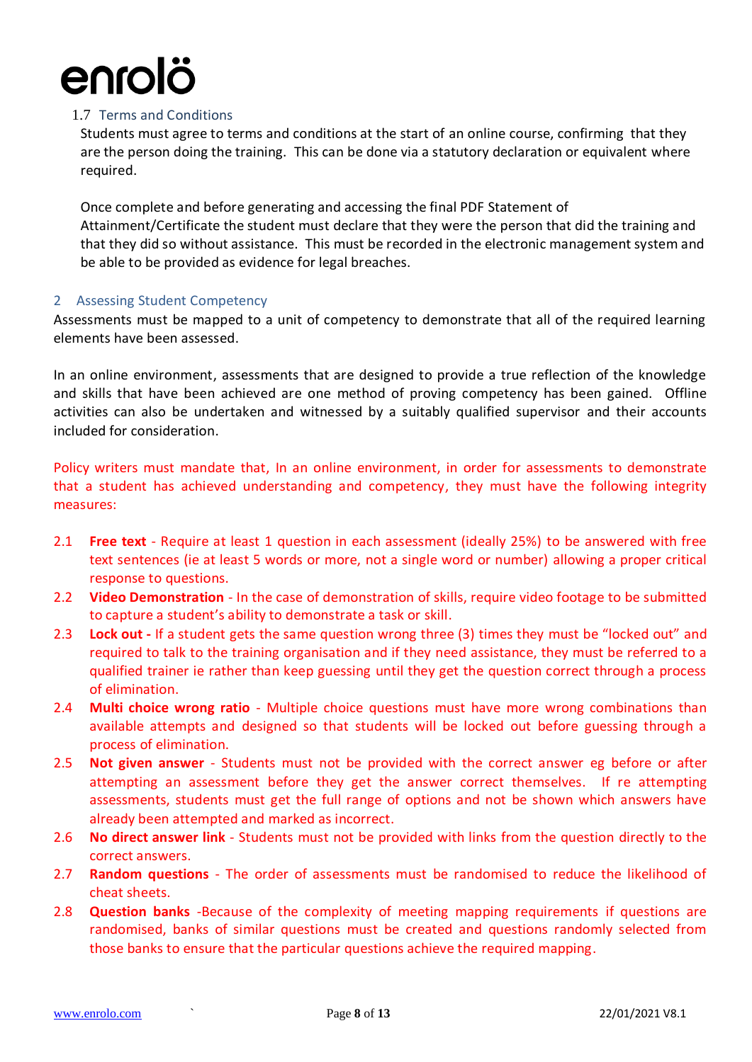#### <span id="page-7-0"></span>1.7 Terms and Conditions

Students must agree to terms and conditions at the start of an online course, confirming that they are the person doing the training. This can be done via a statutory declaration or equivalent where required.

Once complete and before generating and accessing the final PDF Statement of Attainment/Certificate the student must declare that they were the person that did the training and that they did so without assistance. This must be recorded in the electronic management system and be able to be provided as evidence for legal breaches.

#### <span id="page-7-1"></span>2 Assessing Student Competency

Assessments must be mapped to a unit of competency to demonstrate that all of the required learning elements have been assessed.

In an online environment, assessments that are designed to provide a true reflection of the knowledge and skills that have been achieved are one method of proving competency has been gained. Offline activities can also be undertaken and witnessed by a suitably qualified supervisor and their accounts included for consideration.

Policy writers must mandate that, In an online environment, in order for assessments to demonstrate that a student has achieved understanding and competency, they must have the following integrity measures:

- <span id="page-7-2"></span>2.1 **Free text** - Require at least 1 question in each assessment (ideally 25%) to be answered with free text sentences (ie at least 5 words or more, not a single word or number) allowing a proper critical response to questions.
- <span id="page-7-3"></span>2.2 **Video Demonstration** - In the case of demonstration of skills, require video footage to be submitted to capture a student's ability to demonstrate a task or skill.
- <span id="page-7-4"></span>2.3 **Lock out -** If a student gets the same question wrong three (3) times they must be "locked out" and required to talk to the training organisation and if they need assistance, they must be referred to a qualified trainer ie rather than keep guessing until they get the question correct through a process of elimination.
- <span id="page-7-5"></span>2.4 **Multi choice wrong ratio** - Multiple choice questions must have more wrong combinations than available attempts and designed so that students will be locked out before guessing through a process of elimination.
- <span id="page-7-6"></span>2.5 **Not given answer** - Students must not be provided with the correct answer eg before or after attempting an assessment before they get the answer correct themselves. If re attempting assessments, students must get the full range of options and not be shown which answers have already been attempted and marked as incorrect.
- <span id="page-7-7"></span>2.6 **No direct answer link** - Students must not be provided with links from the question directly to the correct answers.
- <span id="page-7-8"></span>2.7 **Random questions** - The order of assessments must be randomised to reduce the likelihood of cheat sheets.
- <span id="page-7-9"></span>2.8 **Question banks** -Because of the complexity of meeting mapping requirements if questions are randomised, banks of similar questions must be created and questions randomly selected from those banks to ensure that the particular questions achieve the required mapping.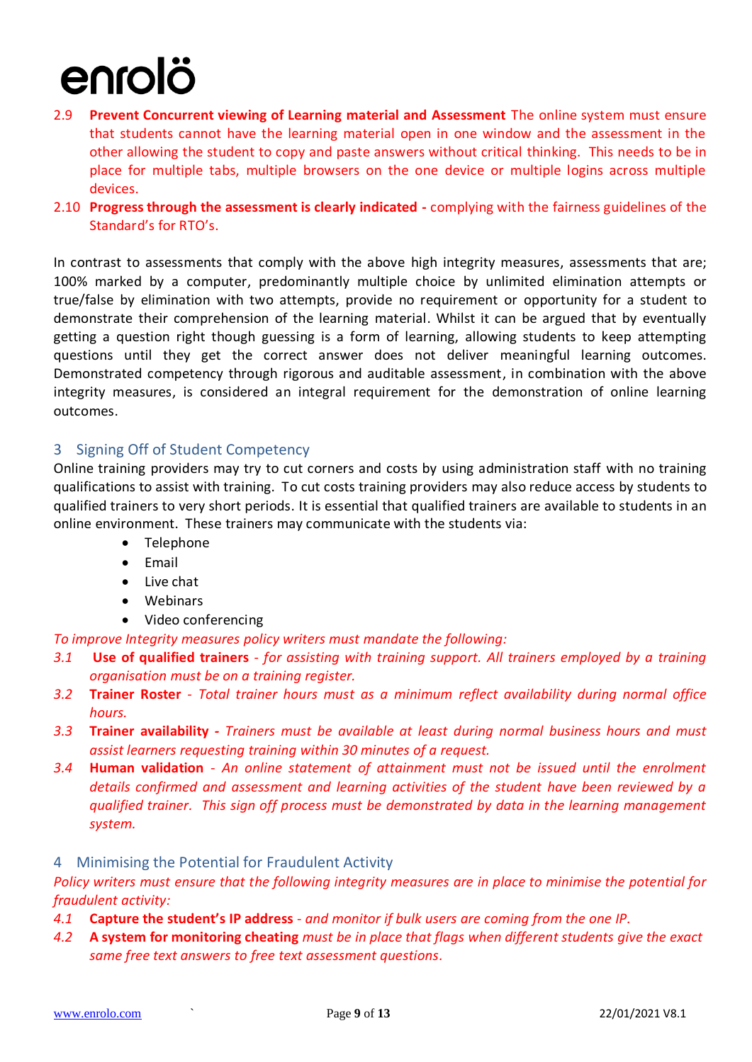- <span id="page-8-0"></span>2.9 **Prevent Concurrent viewing of Learning material and Assessment** The online system must ensure that students cannot have the learning material open in one window and the assessment in the other allowing the student to copy and paste answers without critical thinking. This needs to be in place for multiple tabs, multiple browsers on the one device or multiple logins across multiple devices.
- <span id="page-8-1"></span>2.10 **Progress through the assessment is clearly indicated -** complying with the fairness guidelines of the Standard's for RTO's.

In contrast to assessments that comply with the above high integrity measures, assessments that are; 100% marked by a computer, predominantly multiple choice by unlimited elimination attempts or true/false by elimination with two attempts, provide no requirement or opportunity for a student to demonstrate their comprehension of the learning material. Whilst it can be argued that by eventually getting a question right though guessing is a form of learning, allowing students to keep attempting questions until they get the correct answer does not deliver meaningful learning outcomes. Demonstrated competency through rigorous and auditable assessment, in combination with the above integrity measures, is considered an integral requirement for the demonstration of online learning outcomes.

### <span id="page-8-2"></span>3 Signing Off of Student Competency

Online training providers may try to cut corners and costs by using administration staff with no training qualifications to assist with training. To cut costs training providers may also reduce access by students to qualified trainers to very short periods. It is essential that qualified trainers are available to students in an online environment. These trainers may communicate with the students via:

- Telephone
- Email
- Live chat
- Webinars
- Video conferencing

*To improve Integrity measures policy writers must mandate the following:*

- <span id="page-8-3"></span>*3.1* **Use of qualified trainers** - *for assisting with training support. All trainers employed by a training organisation must be on a training register.*
- <span id="page-8-4"></span>*3.2* **Trainer Roster** *- Total trainer hours must as a minimum reflect availability during normal office hours.*
- <span id="page-8-5"></span>*3.3* **Trainer availability** *- Trainers must be available at least during normal business hours and must assist learners requesting training within 30 minutes of a request.*
- <span id="page-8-6"></span>*3.4* **Human validation** *- An online statement of attainment must not be issued until the enrolment details confirmed and assessment and learning activities of the student have been reviewed by a qualified trainer. This sign off process must be demonstrated by data in the learning management system.*
- <span id="page-8-7"></span>4 Minimising the Potential for Fraudulent Activity

*Policy writers must ensure that the following integrity measures are in place to minimise the potential for fraudulent activity:*

- <span id="page-8-8"></span>*4.1* **Capture the student's IP address** - *and monitor if bulk users are coming from the one IP.*
- <span id="page-8-9"></span>*4.2* **A system for monitoring cheating** *must be in place that flags when different students give the exact same free text answers to free text assessment questions.*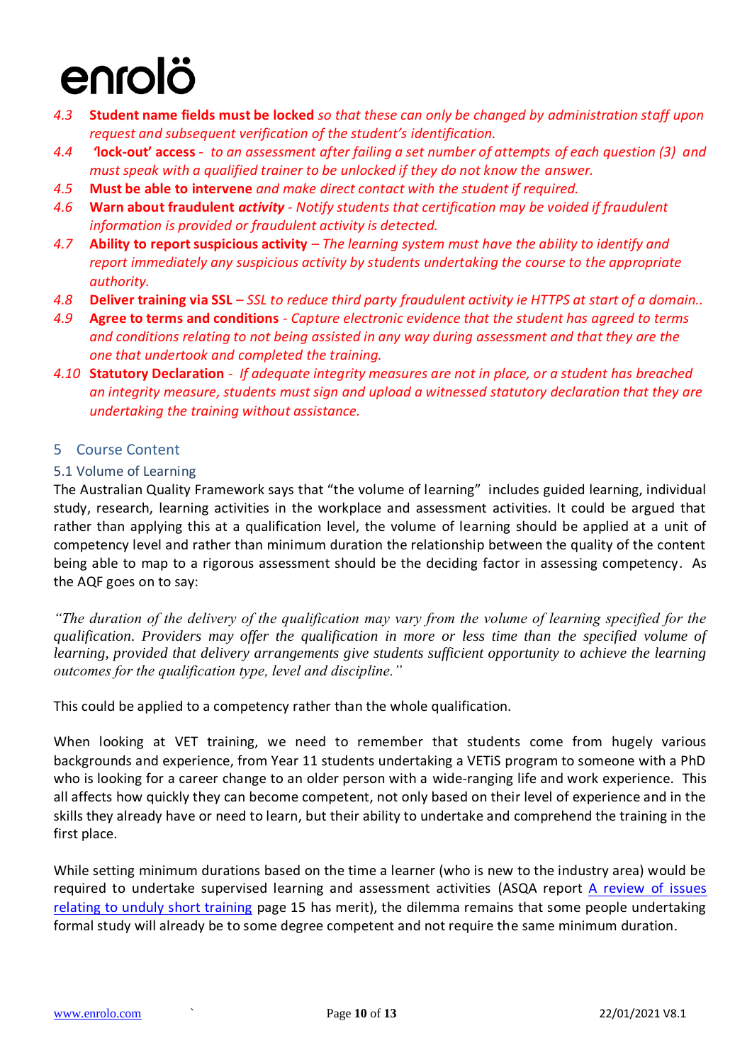- <span id="page-9-0"></span>*4.3* **Student name fields must be locked** *so that these can only be changed by administration staff upon request and subsequent verification of the student's identification.*
- *4.4 '***lock-out' access**  *to an assessment after failing a set number of attempts of each question (3) and must speak with a qualified trainer to be unlocked if they do not know the answer.*
- <span id="page-9-1"></span>*4.5* **Must be able to intervene** *and make direct contact with the student if required.*
- <span id="page-9-2"></span>*4.6* **Warn about fraudulent** *activity - Notify students that certification may be voided if fraudulent information is provided or fraudulent activity is detected.*
- <span id="page-9-3"></span>*4.7* **Ability to report suspicious activity** *– The learning system must have the ability to identify and report immediately any suspicious activity by students undertaking the course to the appropriate authority.*
- <span id="page-9-4"></span>*4.8* **Deliver training via SSL** *– SSL to reduce third party fraudulent activity ie HTTPS at start of a domain..*
- <span id="page-9-5"></span>*4.9* **Agree to terms and conditions** *- Capture electronic evidence that the student has agreed to terms and conditions relating to not being assisted in any way during assessment and that they are the one that undertook and completed the training.*
- <span id="page-9-6"></span>*4.10* **Statutory Declaration** *- If adequate integrity measures are not in place, or a student has breached an integrity measure, students must sign and upload a witnessed statutory declaration that they are undertaking the training without assistance.*

### <span id="page-9-7"></span>5 Course Content

#### <span id="page-9-8"></span>5.1 Volume of Learning

The Australian Quality Framework says that "the volume of learning" includes guided learning, individual study, research, learning activities in the workplace and assessment activities. It could be argued that rather than applying this at a qualification level, the volume of learning should be applied at a unit of competency level and rather than minimum duration the relationship between the quality of the content being able to map to a rigorous assessment should be the deciding factor in assessing competency. As the AQF goes on to say:

*"The duration of the delivery of the qualification may vary from the volume of learning specified for the qualification. Providers may offer the qualification in more or less time than the specified volume of learning, provided that delivery arrangements give students sufficient opportunity to achieve the learning outcomes for the qualification type, level and discipline."*

This could be applied to a competency rather than the whole qualification.

When looking at VET training, we need to remember that students come from hugely various backgrounds and experience, from Year 11 students undertaking a VETiS program to someone with a PhD who is looking for a career change to an older person with a wide-ranging life and work experience. This all affects how quickly they can become competent, not only based on their level of experience and in the skills they already have or need to learn, but their ability to undertake and comprehend the training in the first place.

While setting minimum durations based on the time a learner (who is new to the industry area) would be required to undertake supervised learning and assessment activities (ASQA report A review of issues [relating to unduly short training](https://goo.gl/z9v6jr) page 15 has merit), the dilemma remains that some people undertaking formal study will already be to some degree competent and not require the same minimum duration.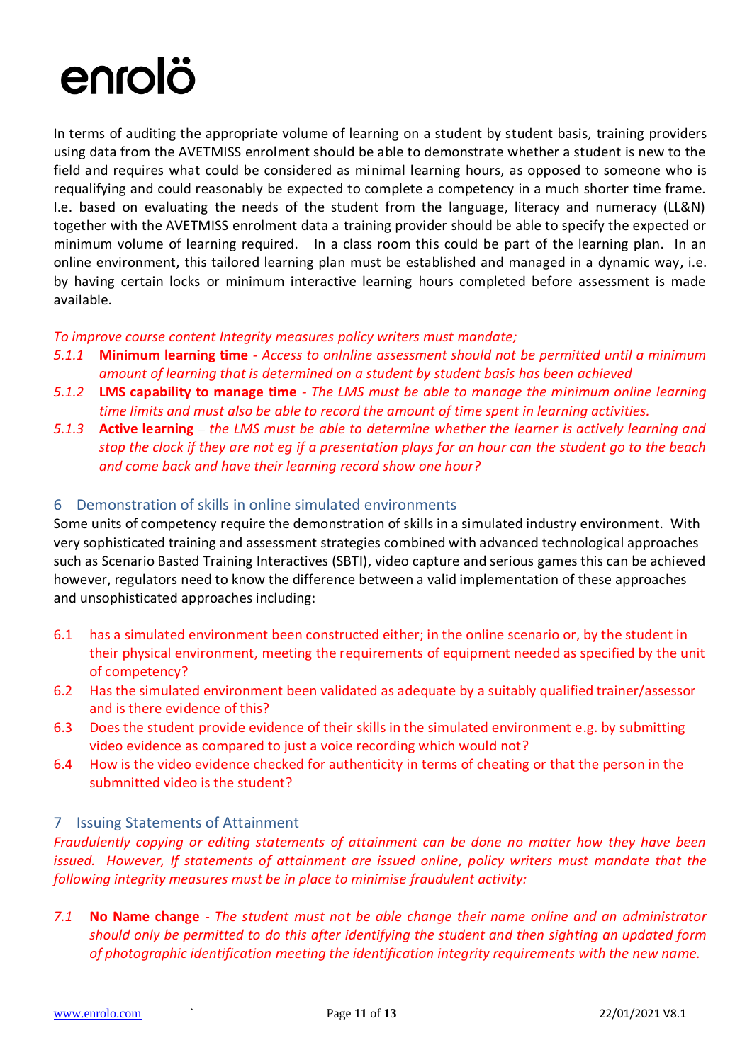In terms of auditing the appropriate volume of learning on a student by student basis, training providers using data from the AVETMISS enrolment should be able to demonstrate whether a student is new to the field and requires what could be considered as minimal learning hours, as opposed to someone who is requalifying and could reasonably be expected to complete a competency in a much shorter time frame. I.e. based on evaluating the needs of the student from the language, literacy and numeracy (LL&N) together with the AVETMISS enrolment data a training provider should be able to specify the expected or minimum volume of learning required. In a class room this could be part of the learning plan. In an online environment, this tailored learning plan must be established and managed in a dynamic way, i.e. by having certain locks or minimum interactive learning hours completed before assessment is made available.

### *To improve course content Integrity measures policy writers must mandate;*

- <span id="page-10-0"></span>*5.1.1* **Minimum learning time** *- Access to onlnline assessment should not be permitted until a minimum amount of learning that is determined on a student by student basis has been achieved*
- <span id="page-10-1"></span>*5.1.2* **LMS capability to manage time** *- The LMS must be able to manage the minimum online learning time limits and must also be able to record the amount of time spent in learning activities.*
- <span id="page-10-2"></span>*5.1.3* **Active learning** *– the LMS must be able to determine whether the learner is actively learning and stop the clock if they are not eg if a presentation plays for an hour can the student go to the beach and come back and have their learning record show one hour?*

### <span id="page-10-3"></span>6 Demonstration of skills in online simulated environments

Some units of competency require the demonstration of skills in a simulated industry environment. With very sophisticated training and assessment strategies combined with advanced technological approaches such as Scenario Basted Training Interactives (SBTI), video capture and serious games this can be achieved however, regulators need to know the difference between a valid implementation of these approaches and unsophisticated approaches including:

- 6.1 has a simulated environment been constructed either; in the online scenario or, by the student in their physical environment, meeting the requirements of equipment needed as specified by the unit of competency?
- 6.2 Has the simulated environment been validated as adequate by a suitably qualified trainer/assessor and is there evidence of this?
- 6.3 Does the student provide evidence of their skills in the simulated environment e.g. by submitting video evidence as compared to just a voice recording which would not?
- 6.4 How is the video evidence checked for authenticity in terms of cheating or that the person in the submnitted video is the student?

### <span id="page-10-4"></span>7 Issuing Statements of Attainment

*Fraudulently copying or editing statements of attainment can be done no matter how they have been issued. However, If statements of attainment are issued online, policy writers must mandate that the following integrity measures must be in place to minimise fraudulent activity:*

<span id="page-10-5"></span>*7.1* **No Name change** *- The student must not be able change their name online and an administrator should only be permitted to do this after identifying the student and then sighting an updated form of photographic identification meeting the identification integrity requirements with the new name.*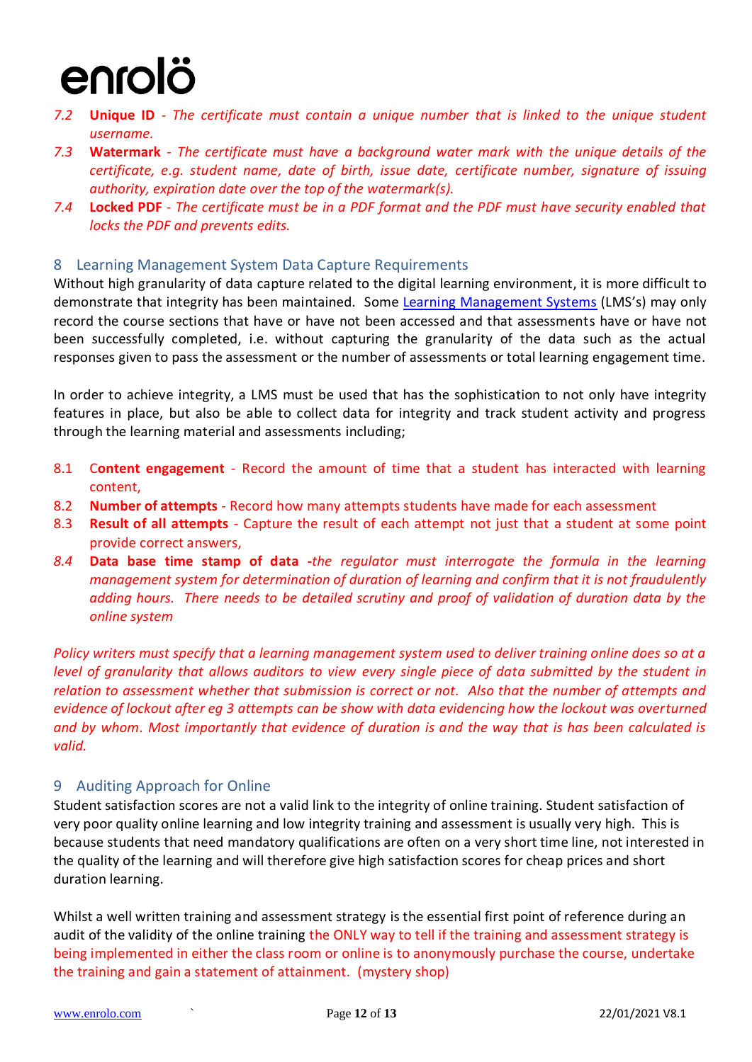- <span id="page-11-0"></span>*7.2* **Unique ID** *- The certificate must contain a unique number that is linked to the unique student username.*
- <span id="page-11-1"></span>*7.3* **Watermark** *- The certificate must have a background water mark with the unique details of the certificate, e.g. student name, date of birth, issue date, certificate number, signature of issuing authority, expiration date over the top of the watermark(s).*
- <span id="page-11-2"></span>*7.4* **Locked PDF** *- The certificate must be in a PDF format and the PDF must have security enabled that locks the PDF and prevents edits.*

### <span id="page-11-3"></span>8 Learning Management System Data Capture Requirements

Without high granularity of data capture related to the digital learning environment, it is more difficult to demonstrate that integrity has been maintained. Some [Learning Management Systems](http://www.enrolo.com/) (LMS's) may only record the course sections that have or have not been accessed and that assessments have or have not been successfully completed, i.e. without capturing the granularity of the data such as the actual responses given to pass the assessment or the number of assessments or total learning engagement time.

In order to achieve integrity, a LMS must be used that has the sophistication to not only have integrity features in place, but also be able to collect data for integrity and track student activity and progress through the learning material and assessments including;

- 8.1 C**ontent engagement** Record the amount of time that a student has interacted with learning content,
- <span id="page-11-4"></span>8.2 **Number of attempts** - Record how many attempts students have made for each assessment
- <span id="page-11-5"></span>8.3 **Result of all attempts** - Capture the result of each attempt not just that a student at some point provide correct answers,
- <span id="page-11-6"></span>*8.4* **Data base time stamp of data -***the regulator must interrogate the formula in the learning management system for determination of duration of learning and confirm that it is not fraudulently adding hours. There needs to be detailed scrutiny and proof of validation of duration data by the online system*

*Policy writers must specify that a learning management system used to deliver training online does so at a level of granularity that allows auditors to view every single piece of data submitted by the student in relation to assessment whether that submission is correct or not. Also that the number of attempts and evidence of lockout after eg 3 attempts can be show with data evidencing how the lockout was overturned and by whom. Most importantly that evidence of duration is and the way that is has been calculated is valid.*

### <span id="page-11-7"></span>9 Auditing Approach for Online

Student satisfaction scores are not a valid link to the integrity of online training. Student satisfaction of very poor quality online learning and low integrity training and assessment is usually very high. This is because students that need mandatory qualifications are often on a very short time line, not interested in the quality of the learning and will therefore give high satisfaction scores for cheap prices and short duration learning.

Whilst a well written training and assessment strategy is the essential first point of reference during an audit of the validity of the online training the ONLY way to tell if the training and assessment strategy is being implemented in either the class room or online is to anonymously purchase the course, undertake the training and gain a statement of attainment. (mystery shop)